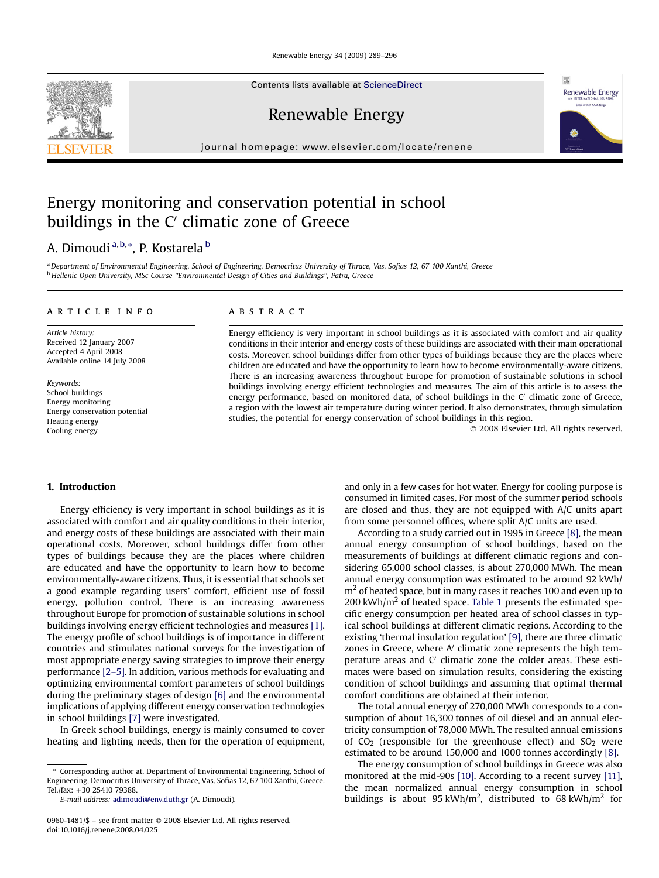Renewable Energy 34 (2009) 289–296

Contents lists available at [ScienceDirect](www.sciencedirect.com/science/journal/09601481)

Renewable Energy

journal homepage: [www.elsevier.com/locate/renene](http://www.elsevier.com/locate/renene)

## Energy monitoring and conservation potential in school buildings in the  $C'$  climatic zone of Greece

# A. Dimoudi<sup>a, b, \*</sup>, P. Kostarela <sup>b</sup>

a Department of Environmental Engineering, School of Engineering, Democritus University of Thrace, Vas. Sofias 12, 67 100 Xanthi, Greece <sup>b</sup> Hellenic Open University, MSc Course ''Environmental Design of Cities and Buildings'', Patra, Greece

#### article info

Article history: Received 12 January 2007 Accepted 4 April 2008 Available online 14 July 2008

Keywords: School buildings Energy monitoring Energy conservation potential Heating energy Cooling energy

### ABSTRACT

Energy efficiency is very important in school buildings as it is associated with comfort and air quality conditions in their interior and energy costs of these buildings are associated with their main operational costs. Moreover, school buildings differ from other types of buildings because they are the places where children are educated and have the opportunity to learn how to become environmentally-aware citizens. There is an increasing awareness throughout Europe for promotion of sustainable solutions in school buildings involving energy efficient technologies and measures. The aim of this article is to assess the energy performance, based on monitored data, of school buildings in the  $C'$  climatic zone of Greece, a region with the lowest air temperature during winter period. It also demonstrates, through simulation studies, the potential for energy conservation of school buildings in this region.

- 2008 Elsevier Ltd. All rights reserved.

### 1. Introduction

Energy efficiency is very important in school buildings as it is associated with comfort and air quality conditions in their interior, and energy costs of these buildings are associated with their main operational costs. Moreover, school buildings differ from other types of buildings because they are the places where children are educated and have the opportunity to learn how to become environmentally-aware citizens. Thus, it is essential that schools set a good example regarding users' comfort, efficient use of fossil energy, pollution control. There is an increasing awareness throughout Europe for promotion of sustainable solutions in school buildings involving energy efficient technologies and measures [\[1\].](#page--1-0) The energy profile of school buildings is of importance in different countries and stimulates national surveys for the investigation of most appropriate energy saving strategies to improve their energy performance [\[2–5\].](#page--1-0) In addition, various methods for evaluating and optimizing environmental comfort parameters of school buildings during the preliminary stages of design [\[6\]](#page--1-0) and the environmental implications of applying different energy conservation technologies in school buildings [\[7\]](#page--1-0) were investigated.

In Greek school buildings, energy is mainly consumed to cover heating and lighting needs, then for the operation of equipment, and only in a few cases for hot water. Energy for cooling purpose is consumed in limited cases. For most of the summer period schools are closed and thus, they are not equipped with A/C units apart from some personnel offices, where split A/C units are used.

According to a study carried out in 1995 in Greece [\[8\]](#page--1-0), the mean annual energy consumption of school buildings, based on the measurements of buildings at different climatic regions and considering 65,000 school classes, is about 270,000 MWh. The mean annual energy consumption was estimated to be around 92 kWh/  $m<sup>2</sup>$  of heated space, but in many cases it reaches 100 and even up to 200 kWh/ $m<sup>2</sup>$  of heated space. [Table 1](#page-1-0) presents the estimated specific energy consumption per heated area of school classes in typical school buildings at different climatic regions. According to the existing 'thermal insulation regulation' [\[9\],](#page--1-0) there are three climatic zones in Greece, where  $A'$  climatic zone represents the high temperature areas and  $C'$  climatic zone the colder areas. These estimates were based on simulation results, considering the existing condition of school buildings and assuming that optimal thermal comfort conditions are obtained at their interior.

The total annual energy of 270,000 MWh corresponds to a consumption of about 16,300 tonnes of oil diesel and an annual electricity consumption of 78,000 MWh. The resulted annual emissions of  $CO<sub>2</sub>$  (responsible for the greenhouse effect) and  $SO<sub>2</sub>$  were estimated to be around 150,000 and 1000 tonnes accordingly [\[8\]](#page--1-0).

The energy consumption of school buildings in Greece was also monitored at the mid-90s [\[10\].](#page--1-0) According to a recent survey [\[11\],](#page--1-0) the mean normalized annual energy consumption in school buildings is about 95 kWh/m<sup>2</sup>, distributed to 68 kWh/m<sup>2</sup> for





<sup>\*</sup> Corresponding author at. Department of Environmental Engineering, School of Engineering, Democritus University of Thrace, Vas. Sofias 12, 67 100 Xanthi, Greece. Tel./fax: +30 25410 79388.

E-mail address: [adimoudi@env.duth.gr](mailto:adimoudi@env.duth.gr) (A. Dimoudi).

<sup>0960-1481/\$ –</sup> see front matter © 2008 Elsevier Ltd. All rights reserved. doi:10.1016/j.renene.2008.04.025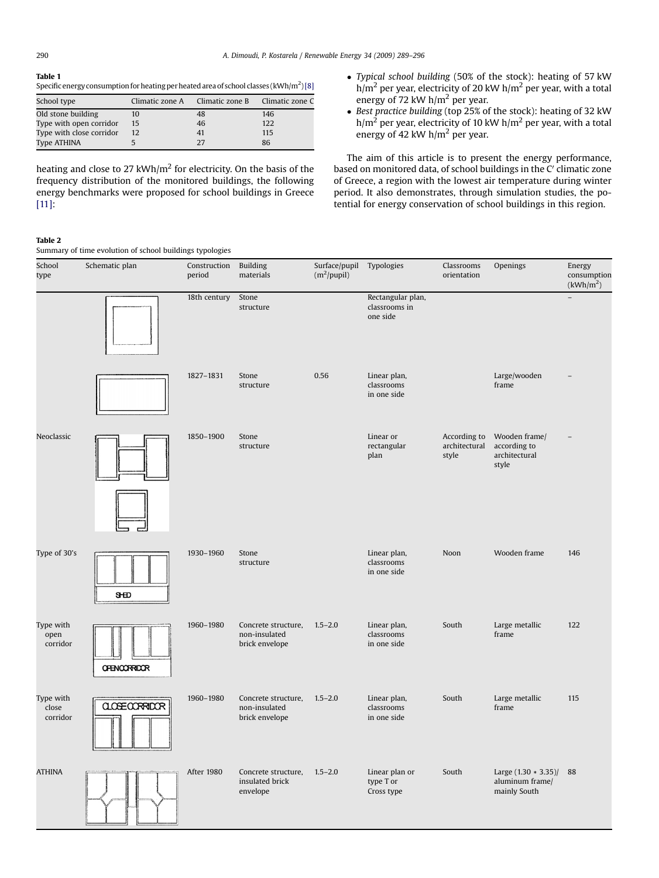#### Table 1

Specific energy consumption for heating per heated area of school classes (kWh/m $^2$ ) [\[8\]](#page--1-0)

| School type              | Climatic zone A | Climatic zone B | Climatic zone C |
|--------------------------|-----------------|-----------------|-----------------|
| Old stone building       | 10              | 48              | 146             |
| Type with open corridor  | 15              | 46              | 122             |
| Type with close corridor | 12              | 41              | 115             |
| Type ATHINA              |                 | 27              | 86              |

heating and close to 27 kWh/m<sup>2</sup> for electricity. On the basis of the frequency distribution of the monitored buildings, the following energy benchmarks were proposed for school buildings in Greece [\[11\]](#page--1-0):

- Typical school building (50% of the stock): heating of 57 kW  $h/m<sup>2</sup>$  per year, electricity of 20 kW  $h/m<sup>2</sup>$  per year, with a total energy of 72 kW  $h/m^2$  per year.
- Best practice building (top 25% of the stock): heating of 32 kW  $h/m<sup>2</sup>$  per year, electricity of 10 kW  $h/m<sup>2</sup>$  per year, with a total energy of 42 kW h/m<sup>2</sup> per year.

The aim of this article is to present the energy performance, based on monitored data, of school buildings in the C' climatic zone of Greece, a region with the lowest air temperature during winter period. It also demonstrates, through simulation studies, the potential for energy conservation of school buildings in this region.

#### Table 2

Summary of time evolution of school buildings typologies

| School<br>type                 | Schematic plan        | Construction<br>period | <b>Building</b><br>materials                           | Surface/pupil Typologies<br>$(m^2$ /pupil) |                                                | Classrooms<br>orientation              | Openings                                                     | Energy<br>consumption<br>(kWh/m <sup>2</sup> ) |
|--------------------------------|-----------------------|------------------------|--------------------------------------------------------|--------------------------------------------|------------------------------------------------|----------------------------------------|--------------------------------------------------------------|------------------------------------------------|
|                                |                       | 18th century           | Stone<br>structure                                     |                                            | Rectangular plan,<br>classrooms in<br>one side |                                        |                                                              | $\overline{a}$                                 |
|                                |                       | 1827-1831              | Stone<br>structure                                     | 0.56                                       | Linear plan,<br>classrooms<br>in one side      |                                        | Large/wooden<br>frame                                        |                                                |
| Neoclassic                     |                       | 1850-1900              | Stone<br>structure                                     |                                            | Linear or<br>rectangular<br>plan               | According to<br>architectural<br>style | Wooden frame/<br>according to<br>architectural<br>style      |                                                |
| Type of 30's                   | <b>SHD</b>            | 1930-1960              | Stone<br>structure                                     |                                            | Linear plan,<br>classrooms<br>in one side      | Noon                                   | Wooden frame                                                 | 146                                            |
| Type with<br>open<br>corridor  | <b>OFENCORRIDOR</b>   | 1960-1980              | Concrete structure,<br>non-insulated<br>brick envelope | $1.5 - 2.0$                                | Linear plan,<br>classrooms<br>in one side      | South                                  | Large metallic<br>frame                                      | 122                                            |
| Type with<br>close<br>corridor | <b>CLOSE CORRIDOR</b> | 1960-1980              | Concrete structure,<br>non-insulated<br>brick envelope | $1.5 - 2.0$                                | Linear plan,<br>classrooms<br>in one side      | South                                  | Large metallic<br>frame                                      | 115                                            |
| <b>ATHINA</b>                  |                       | After 1980             | Concrete structure,<br>insulated brick<br>envelope     | $1.5 - 2.0$                                | Linear plan or<br>type T or<br>Cross type      | South                                  | Large $(1.30 * 3.35)/$ 88<br>aluminum frame/<br>mainly South |                                                |

<span id="page-1-0"></span>